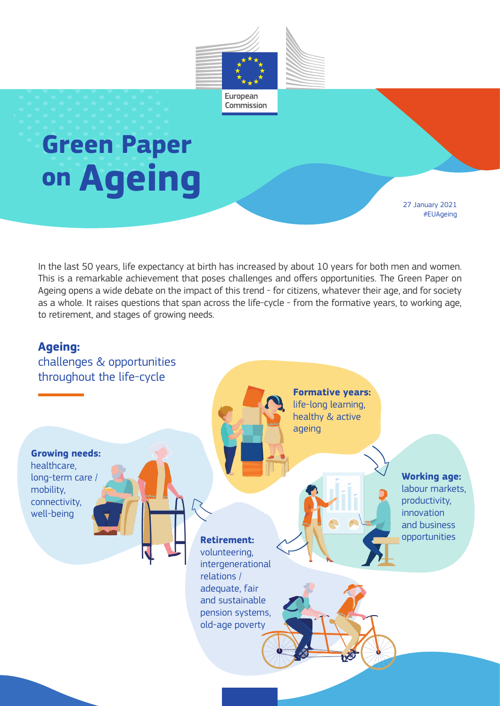

## **Green Paper on Ageing**

27 January 2021 #EUAgeing

In the last 50 years, life expectancy at birth has increased by about 10 years for both men and women. This is a remarkable achievement that poses challenges and offers opportunities. The Green Paper on Ageing opens a wide debate on the impact of this trend - for citizens, whatever their age, and for society as a whole. It raises questions that span across the life-cycle - from the formative years, to working age, to retirement, and stages of growing needs.

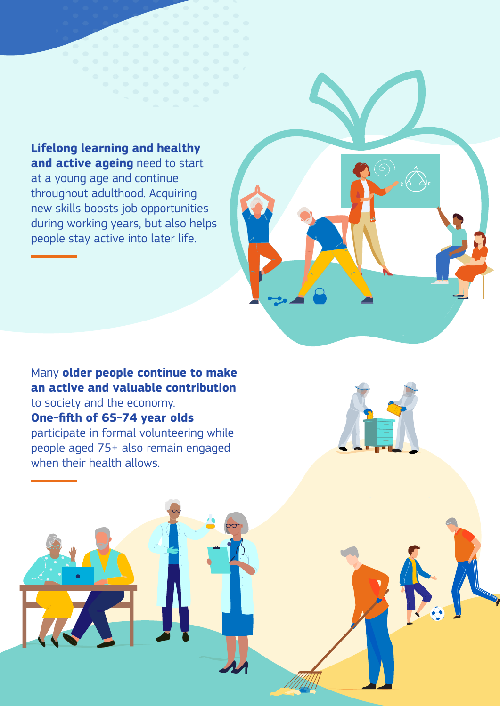**Lifelong learning and healthy and active ageing** need to start at a young age and continue throughout adulthood. Acquiring new skills boosts job opportunities during working years, but also helps people stay active into later life.

## Many **older people continue to make an active and valuable contribution** to society and the economy. **One-fifth of 65-74 year olds** participate in formal volunteering while people aged 75+ also remain engaged when their health allows.

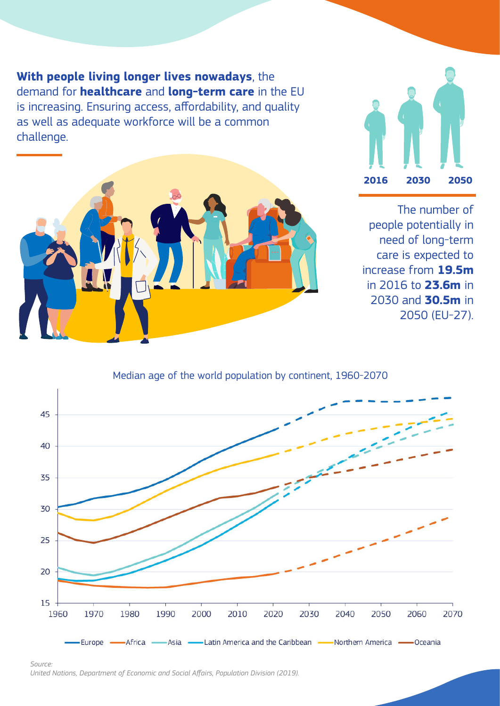**With people living longer lives nowadays**, the demand for **healthcare** and **long-term care** in the EU is increasing. Ensuring access, affordability, and quality as well as adequate workforce will be a common challenge.





The number of people potentially in need of long-term care is expected to increase from **19.5m**  in 2016 to **23.6m** in 2030 and **30.5m** in 2050 (EU-27).

Median age of the world population by continent, 1960-2070



*Source: United Nations, Department of Economic and Social Affairs, Population Division (2019).*